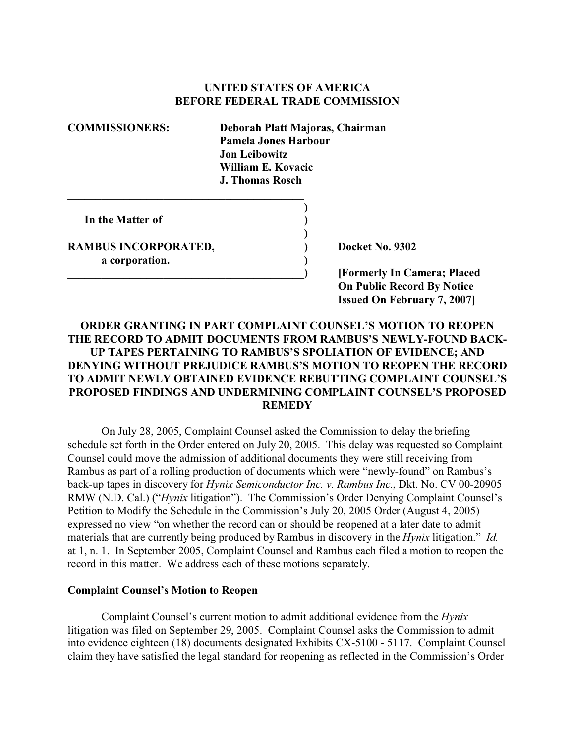## **UNITED STATES OF AMERICA BEFORE FEDERAL TRADE COMMISSION**

**)**

**)**

**COMMISSIONERS: Deborah Platt Majoras, Chairman Pamela Jones Harbour Jon Leibowitz William E. Kovacic J. Thomas Rosch**

**In the Matter of )**

**RAMBUS INCORPORATED, 2008** (2008) Docket No. 9302 **a corporation. )**

**\_\_\_\_\_\_\_\_\_\_\_\_\_\_\_\_\_\_\_\_\_\_\_\_\_\_\_\_\_\_\_\_\_\_\_\_\_\_\_\_\_\_) [Formerly In Camera; Placed On Public Record By Notice Issued On February 7, 2007]**

## **ORDER GRANTING IN PART COMPLAINT COUNSEL'S MOTION TO REOPEN THE RECORD TO ADMIT DOCUMENTS FROM RAMBUS'S NEWLY-FOUND BACK-UP TAPES PERTAINING TO RAMBUS'S SPOLIATION OF EVIDENCE; AND DENYING WITHOUT PREJUDICE RAMBUS'S MOTION TO REOPEN THE RECORD TO ADMIT NEWLY OBTAINED EVIDENCE REBUTTING COMPLAINT COUNSEL'S PROPOSED FINDINGS AND UNDERMINING COMPLAINT COUNSEL'S PROPOSED REMEDY**

On July 28, 2005, Complaint Counsel asked the Commission to delay the briefing schedule set forth in the Order entered on July 20, 2005. This delay was requested so Complaint Counsel could move the admission of additional documents they were still receiving from Rambus as part of a rolling production of documents which were "newly-found" on Rambus's back-up tapes in discovery for *Hynix Semiconductor Inc. v. Rambus Inc.*, Dkt. No. CV 00-20905 RMW (N.D. Cal.) ("*Hynix* litigation"). The Commission's Order Denying Complaint Counsel's Petition to Modify the Schedule in the Commission's July 20, 2005 Order (August 4, 2005) expressed no view "on whether the record can or should be reopened at a later date to admit materials that are currently being produced by Rambus in discovery in the *Hynix* litigation." *Id.* at 1, n. 1. In September 2005, Complaint Counsel and Rambus each filed a motion to reopen the record in this matter. We address each of these motions separately.

## **Complaint Counsel's Motion to Reopen**

Complaint Counsel's current motion to admit additional evidence from the *Hynix* litigation was filed on September 29, 2005. Complaint Counsel asks the Commission to admit into evidence eighteen (18) documents designated Exhibits CX-5100 - 5117. Complaint Counsel claim they have satisfied the legal standard for reopening as reflected in the Commission's Order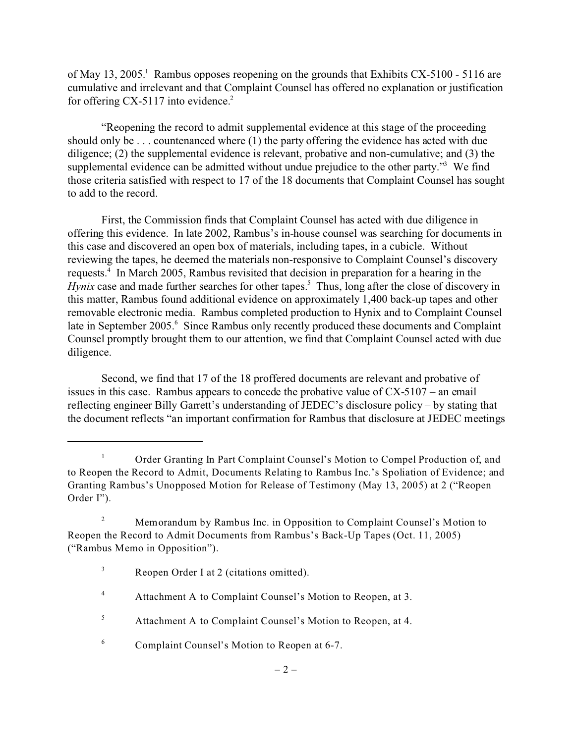of May 13, 2005.<sup>1</sup> Rambus opposes reopening on the grounds that Exhibits CX-5100 - 5116 are cumulative and irrelevant and that Complaint Counsel has offered no explanation or justification for offering CX-5117 into evidence. $2$ 

"Reopening the record to admit supplemental evidence at this stage of the proceeding should only be . . . countenanced where (1) the party offering the evidence has acted with due diligence; (2) the supplemental evidence is relevant, probative and non-cumulative; and (3) the supplemental evidence can be admitted without undue prejudice to the other party."<sup>3</sup> We find those criteria satisfied with respect to 17 of the 18 documents that Complaint Counsel has sought to add to the record.

First, the Commission finds that Complaint Counsel has acted with due diligence in offering this evidence. In late 2002, Rambus's in-house counsel was searching for documents in this case and discovered an open box of materials, including tapes, in a cubicle. Without reviewing the tapes, he deemed the materials non-responsive to Complaint Counsel's discovery requests.<sup>4</sup> In March 2005, Rambus revisited that decision in preparation for a hearing in the *Hynix* case and made further searches for other tapes.<sup>5</sup> Thus, long after the close of discovery in this matter, Rambus found additional evidence on approximately 1,400 back-up tapes and other removable electronic media. Rambus completed production to Hynix and to Complaint Counsel late in September 2005.<sup>6</sup> Since Rambus only recently produced these documents and Complaint Counsel promptly brought them to our attention, we find that Complaint Counsel acted with due diligence.

Second, we find that 17 of the 18 proffered documents are relevant and probative of issues in this case. Rambus appears to concede the probative value of CX-5107 – an email reflecting engineer Billy Garrett's understanding of JEDEC's disclosure policy – by stating that the document reflects "an important confirmation for Rambus that disclosure at JEDEC meetings

<sup>&</sup>lt;sup>1</sup> Order Granting In Part Complaint Counsel's Motion to Compel Production of, and to Reopen the Record to Admit, Documents Relating to Rambus Inc.'s Spoliation of Evidence; and Granting Rambus's Unopposed Motion for Release of Testimony (May 13, 2005) at 2 ("Reopen Order I").

<sup>&</sup>lt;sup>2</sup> Memorandum by Rambus Inc. in Opposition to Complaint Counsel's Motion to Reopen the Record to Admit Documents from Rambus's Back-Up Tapes (Oct. 11, 2005) ("Rambus Memo in Opposition").

<sup>&</sup>lt;sup>3</sup> Reopen Order I at 2 (citations omitted).

<sup>&</sup>lt;sup>4</sup> Attachment A to Complaint Counsel's Motion to Reopen, at 3.

<sup>5</sup> Attachment A to Complaint Counsel's Motion to Reopen, at 4.

<sup>6</sup> Complaint Counsel's Motion to Reopen at 6-7.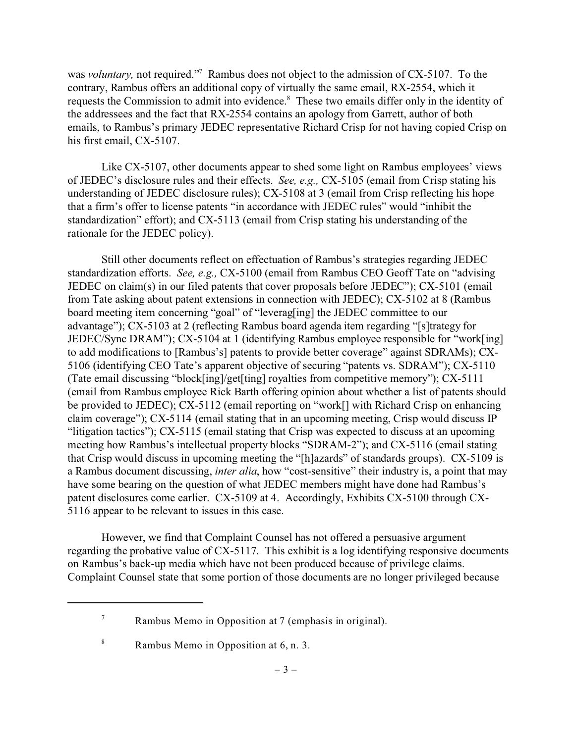was *voluntary*, not required."<sup>7</sup> Rambus does not object to the admission of CX-5107. To the contrary, Rambus offers an additional copy of virtually the same email, RX-2554, which it requests the Commission to admit into evidence.<sup>8</sup> These two emails differ only in the identity of the addressees and the fact that RX-2554 contains an apology from Garrett, author of both emails, to Rambus's primary JEDEC representative Richard Crisp for not having copied Crisp on his first email, CX-5107.

Like CX-5107, other documents appear to shed some light on Rambus employees' views of JEDEC's disclosure rules and their effects. *See, e.g.,* CX-5105 (email from Crisp stating his understanding of JEDEC disclosure rules); CX-5108 at 3 (email from Crisp reflecting his hope that a firm's offer to license patents "in accordance with JEDEC rules" would "inhibit the standardization" effort); and CX-5113 (email from Crisp stating his understanding of the rationale for the JEDEC policy).

Still other documents reflect on effectuation of Rambus's strategies regarding JEDEC standardization efforts. *See, e.g.,* CX-5100 (email from Rambus CEO Geoff Tate on "advising JEDEC on claim(s) in our filed patents that cover proposals before JEDEC"); CX-5101 (email from Tate asking about patent extensions in connection with JEDEC); CX-5102 at 8 (Rambus board meeting item concerning "goal" of "leverag[ing] the JEDEC committee to our advantage"); CX-5103 at 2 (reflecting Rambus board agenda item regarding "[s]trategy for JEDEC/Sync DRAM"); CX-5104 at 1 (identifying Rambus employee responsible for "work[ing] to add modifications to [Rambus's] patents to provide better coverage" against SDRAMs); CX-5106 (identifying CEO Tate's apparent objective of securing "patents vs. SDRAM"); CX-5110 (Tate email discussing "block[ing]/get[ting] royalties from competitive memory"); CX-5111 (email from Rambus employee Rick Barth offering opinion about whether a list of patents should be provided to JEDEC); CX-5112 (email reporting on "work[] with Richard Crisp on enhancing claim coverage"); CX-5114 (email stating that in an upcoming meeting, Crisp would discuss IP "litigation tactics"); CX-5115 (email stating that Crisp was expected to discuss at an upcoming meeting how Rambus's intellectual property blocks "SDRAM-2"); and CX-5116 (email stating that Crisp would discuss in upcoming meeting the "[h]azards" of standards groups). CX-5109 is a Rambus document discussing, *inter alia*, how "cost-sensitive" their industry is, a point that may have some bearing on the question of what JEDEC members might have done had Rambus's patent disclosures come earlier. CX-5109 at 4. Accordingly, Exhibits CX-5100 through CX-5116 appear to be relevant to issues in this case.

However, we find that Complaint Counsel has not offered a persuasive argument regarding the probative value of CX-5117. This exhibit is a log identifying responsive documents on Rambus's back-up media which have not been produced because of privilege claims. Complaint Counsel state that some portion of those documents are no longer privileged because

<sup>&</sup>lt;sup>7</sup> Rambus Memo in Opposition at 7 (emphasis in original).

<sup>8</sup> Rambus Memo in Opposition at 6, n. 3.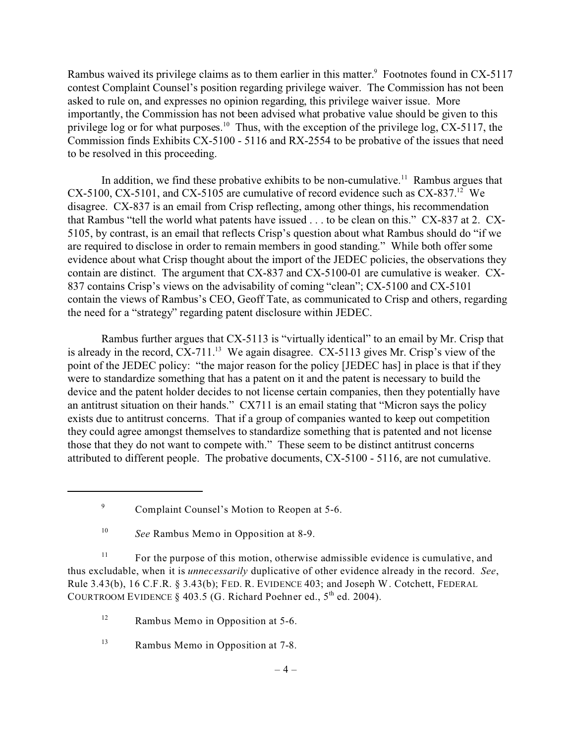Rambus waived its privilege claims as to them earlier in this matter. Footnotes found in CX-5117 contest Complaint Counsel's position regarding privilege waiver. The Commission has not been asked to rule on, and expresses no opinion regarding, this privilege waiver issue. More importantly, the Commission has not been advised what probative value should be given to this privilege log or for what purposes.<sup>10</sup> Thus, with the exception of the privilege log,  $CX-5117$ , the Commission finds Exhibits CX-5100 - 5116 and RX-2554 to be probative of the issues that need to be resolved in this proceeding.

In addition, we find these probative exhibits to be non-cumulative.<sup>11</sup> Rambus argues that CX-5100, CX-5101, and CX-5105 are cumulative of record evidence such as  $CX-837$ <sup>12</sup> We disagree. CX-837 is an email from Crisp reflecting, among other things, his recommendation that Rambus "tell the world what patents have issued . . . to be clean on this." CX-837 at 2. CX-5105, by contrast, is an email that reflects Crisp's question about what Rambus should do "if we are required to disclose in order to remain members in good standing." While both offer some evidence about what Crisp thought about the import of the JEDEC policies, the observations they contain are distinct. The argument that CX-837 and CX-5100-01 are cumulative is weaker. CX-837 contains Crisp's views on the advisability of coming "clean"; CX-5100 and CX-5101 contain the views of Rambus's CEO, Geoff Tate, as communicated to Crisp and others, regarding the need for a "strategy" regarding patent disclosure within JEDEC.

Rambus further argues that CX-5113 is "virtually identical" to an email by Mr. Crisp that is already in the record,  $CX-711$ <sup>13</sup> We again disagree.  $CX-5113$  gives Mr. Crisp's view of the point of the JEDEC policy: "the major reason for the policy [JEDEC has] in place is that if they were to standardize something that has a patent on it and the patent is necessary to build the device and the patent holder decides to not license certain companies, then they potentially have an antitrust situation on their hands." CX711 is an email stating that "Micron says the policy exists due to antitrust concerns. That if a group of companies wanted to keep out competition they could agree amongst themselves to standardize something that is patented and not license those that they do not want to compete with." These seem to be distinct antitrust concerns attributed to different people. The probative documents, CX-5100 - 5116, are not cumulative.

<sup>11</sup> For the purpose of this motion, otherwise admissible evidence is cumulative, and thus excludable, when it is *unnecessarily* duplicative of other evidence already in the record. *See*, Rule 3.43(b), 16 C.F.R. § 3.43(b); FED. R. EVIDENCE 403; and Joseph W. Cotchett, FEDERAL COURTROOM EVIDENCE § 403.5 (G. Richard Poehner ed.,  $5<sup>th</sup>$  ed. 2004).

 $12$  Rambus Memo in Opposition at 5-6.

<sup>13</sup> Rambus Memo in Opposition at 7-8.

<sup>9</sup> Complaint Counsel's Motion to Reopen at 5-6.

<sup>10</sup> *See* Rambus Memo in Opposition at 8-9.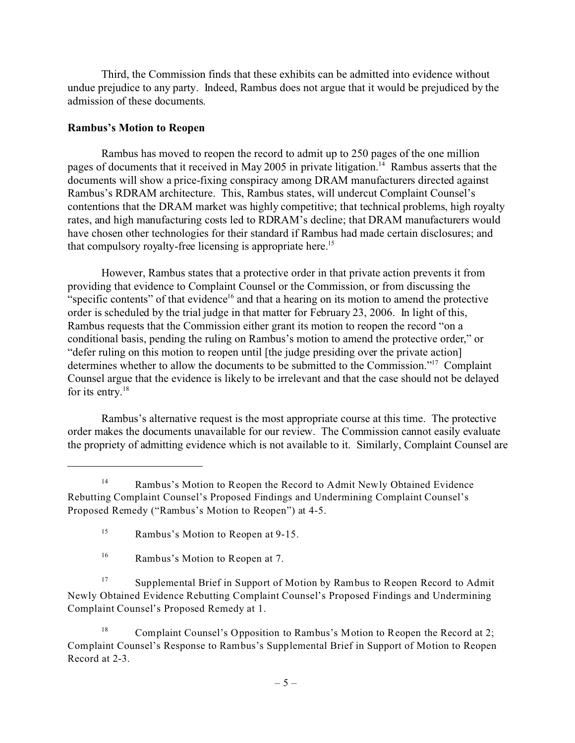Third, the Commission finds that these exhibits can be admitted into evidence without undue prejudice to any party. Indeed, Rambus does not argue that it would be prejudiced by the admission of these documents.

## **Rambus's Motion to Reopen**

Rambus has moved to reopen the record to admit up to 250 pages of the one million pages of documents that it received in May 2005 in private litigation.<sup>14</sup> Rambus asserts that the documents will show a price-fixing conspiracy among DRAM manufacturers directed against Rambus's RDRAM architecture. This, Rambus states, will undercut Complaint Counsel's contentions that the DRAM market was highly competitive; that technical problems, high royalty rates, and high manufacturing costs led to RDRAM's decline; that DRAM manufacturers would have chosen other technologies for their standard if Rambus had made certain disclosures; and that compulsory royalty-free licensing is appropriate here.<sup>15</sup>

However, Rambus states that a protective order in that private action prevents it from providing that evidence to Complaint Counsel or the Commission, or from discussing the "specific contents" of that evidence<sup>16</sup> and that a hearing on its motion to amend the protective order is scheduled by the trial judge in that matter for February 23, 2006. In light of this, Rambus requests that the Commission either grant its motion to reopen the record "on a conditional basis, pending the ruling on Rambus's motion to amend the protective order," or "defer ruling on this motion to reopen until [the judge presiding over the private action] determines whether to allow the documents to be submitted to the Commission."17 Complaint Counsel argue that the evidence is likely to be irrelevant and that the case should not be delayed for its entry. $18$ 

Rambus's alternative request is the most appropriate course at this time. The protective order makes the documents unavailable for our review. The Commission cannot easily evaluate the propriety of admitting evidence which is not available to it. Similarly, Complaint Counsel are

<sup>&</sup>lt;sup>14</sup> Rambus's Motion to Reopen the Record to Admit Newly Obtained Evidence Rebutting Complaint Counsel's Proposed Findings and Undermining Complaint Counsel's Proposed Remedy ("Rambus's Motion to Reopen") at 4-5.

<sup>15</sup> Rambus's Motion to Reopen at 9-15.

<sup>&</sup>lt;sup>16</sup> Rambus's Motion to Reopen at 7.

<sup>&</sup>lt;sup>17</sup> Supplemental Brief in Support of Motion by Rambus to Reopen Record to Admit Newly Obtained Evidence Rebutting Complaint Counsel's Proposed Findings and Undermining Complaint Counsel's Proposed Remedy at 1.

<sup>&</sup>lt;sup>18</sup> Complaint Counsel's Opposition to Rambus's Motion to Reopen the Record at 2; Complaint Counsel's Response to Rambus's Supplemental Brief in Support of Motion to Reopen Record at 2-3.